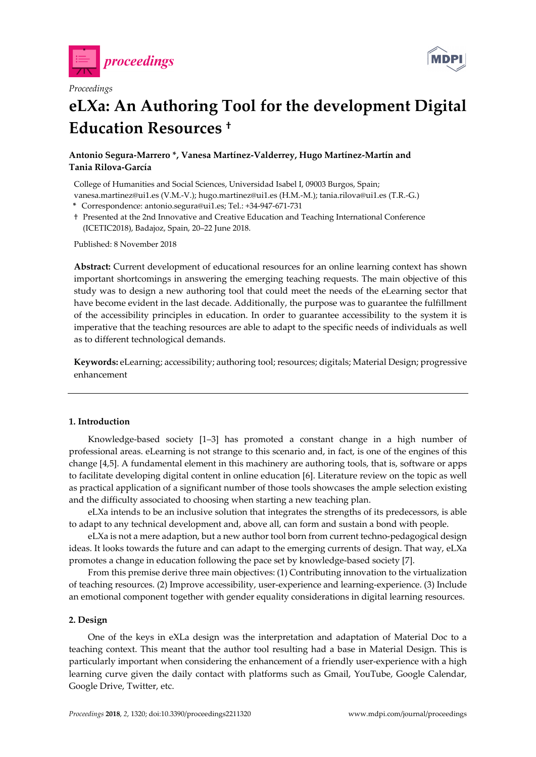

## *Proceedings*



# **eLXa: An Authoring Tool for the development Digital Education Resources †**

## **Antonio Segura-Marrero \*, Vanesa Martínez-Valderrey, Hugo Martínez-Martín and Tania Rilova-García**

College of Humanities and Social Sciences, Universidad Isabel I, 09003 Burgos, Spain; vanesa.martinez@ui1.es (V.M.-V.); hugo.martinez@ui1.es (H.M.-M.); tania.rilova@ui1.es (T.R.-G.)

**\*** Correspondence: antonio.segura@ui1.es; Tel.: +34-947-671-731

† Presented at the 2nd Innovative and Creative Education and Teaching International Conference (ICETIC2018), Badajoz, Spain, 20–22 June 2018.

Published: 8 November 2018

**Abstract:** Current development of educational resources for an online learning context has shown important shortcomings in answering the emerging teaching requests. The main objective of this study was to design a new authoring tool that could meet the needs of the eLearning sector that have become evident in the last decade. Additionally, the purpose was to guarantee the fulfillment of the accessibility principles in education. In order to guarantee accessibility to the system it is imperative that the teaching resources are able to adapt to the specific needs of individuals as well as to different technological demands.

**Keywords:** eLearning; accessibility; authoring tool; resources; digitals; Material Design; progressive enhancement

#### **1. Introduction**

Knowledge-based society [1–3] has promoted a constant change in a high number of professional areas. eLearning is not strange to this scenario and, in fact, is one of the engines of this change [4,5]. A fundamental element in this machinery are authoring tools, that is, software or apps to facilitate developing digital content in online education [6]. Literature review on the topic as well as practical application of a significant number of those tools showcases the ample selection existing and the difficulty associated to choosing when starting a new teaching plan.

eLXa intends to be an inclusive solution that integrates the strengths of its predecessors, is able to adapt to any technical development and, above all, can form and sustain a bond with people.

eLXa is not a mere adaption, but a new author tool born from current techno-pedagogical design ideas. It looks towards the future and can adapt to the emerging currents of design. That way, eLXa promotes a change in education following the pace set by knowledge-based society [7].

From this premise derive three main objectives: (1) Contributing innovation to the virtualization of teaching resources. (2) Improve accessibility, user-experience and learning-experience. (3) Include an emotional component together with gender equality considerations in digital learning resources.

#### **2. Design**

One of the keys in eXLa design was the interpretation and adaptation of Material Doc to a teaching context. This meant that the author tool resulting had a base in Material Design. This is particularly important when considering the enhancement of a friendly user-experience with a high learning curve given the daily contact with platforms such as Gmail, YouTube, Google Calendar, Google Drive, Twitter, etc.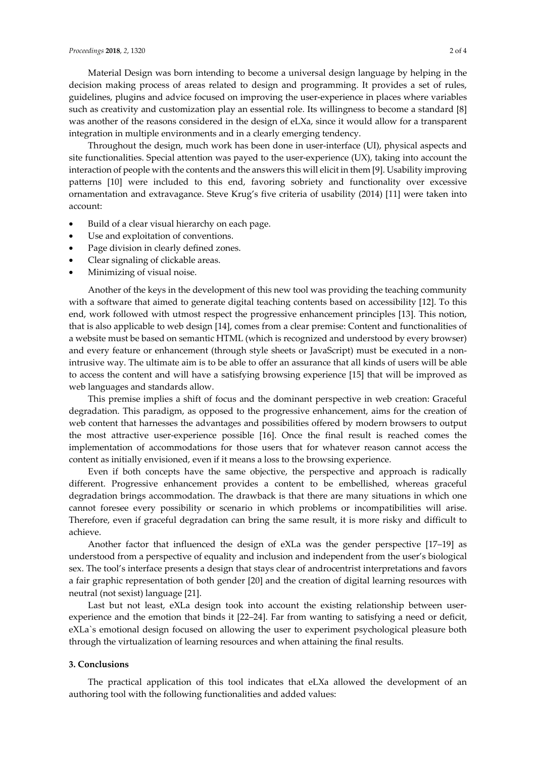Material Design was born intending to become a universal design language by helping in the decision making process of areas related to design and programming. It provides a set of rules, guidelines, plugins and advice focused on improving the user-experience in places where variables such as creativity and customization play an essential role. Its willingness to become a standard [8] was another of the reasons considered in the design of eLXa, since it would allow for a transparent integration in multiple environments and in a clearly emerging tendency.

Throughout the design, much work has been done in user-interface (UI), physical aspects and site functionalities. Special attention was payed to the user-experience (UX), taking into account the interaction of people with the contents and the answers this will elicit in them [9]. Usability improving patterns [10] were included to this end, favoring sobriety and functionality over excessive ornamentation and extravagance. Steve Krug's five criteria of usability (2014) [11] were taken into account:

- Build of a clear visual hierarchy on each page.
- Use and exploitation of conventions.
- Page division in clearly defined zones.
- Clear signaling of clickable areas.
- Minimizing of visual noise.

Another of the keys in the development of this new tool was providing the teaching community with a software that aimed to generate digital teaching contents based on accessibility [12]. To this end, work followed with utmost respect the progressive enhancement principles [13]. This notion, that is also applicable to web design [14], comes from a clear premise: Content and functionalities of a website must be based on semantic HTML (which is recognized and understood by every browser) and every feature or enhancement (through style sheets or JavaScript) must be executed in a nonintrusive way. The ultimate aim is to be able to offer an assurance that all kinds of users will be able to access the content and will have a satisfying browsing experience [15] that will be improved as web languages and standards allow.

This premise implies a shift of focus and the dominant perspective in web creation: Graceful degradation. This paradigm, as opposed to the progressive enhancement, aims for the creation of web content that harnesses the advantages and possibilities offered by modern browsers to output the most attractive user-experience possible [16]. Once the final result is reached comes the implementation of accommodations for those users that for whatever reason cannot access the content as initially envisioned, even if it means a loss to the browsing experience.

Even if both concepts have the same objective, the perspective and approach is radically different. Progressive enhancement provides a content to be embellished, whereas graceful degradation brings accommodation. The drawback is that there are many situations in which one cannot foresee every possibility or scenario in which problems or incompatibilities will arise. Therefore, even if graceful degradation can bring the same result, it is more risky and difficult to achieve.

Another factor that influenced the design of eXLa was the gender perspective [17–19] as understood from a perspective of equality and inclusion and independent from the user's biological sex. The tool's interface presents a design that stays clear of androcentrist interpretations and favors a fair graphic representation of both gender [20] and the creation of digital learning resources with neutral (not sexist) language [21].

Last but not least, eXLa design took into account the existing relationship between userexperience and the emotion that binds it [22–24]. Far from wanting to satisfying a need or deficit, eXLa`s emotional design focused on allowing the user to experiment psychological pleasure both through the virtualization of learning resources and when attaining the final results.

#### **3. Conclusions**

The practical application of this tool indicates that eLXa allowed the development of an authoring tool with the following functionalities and added values: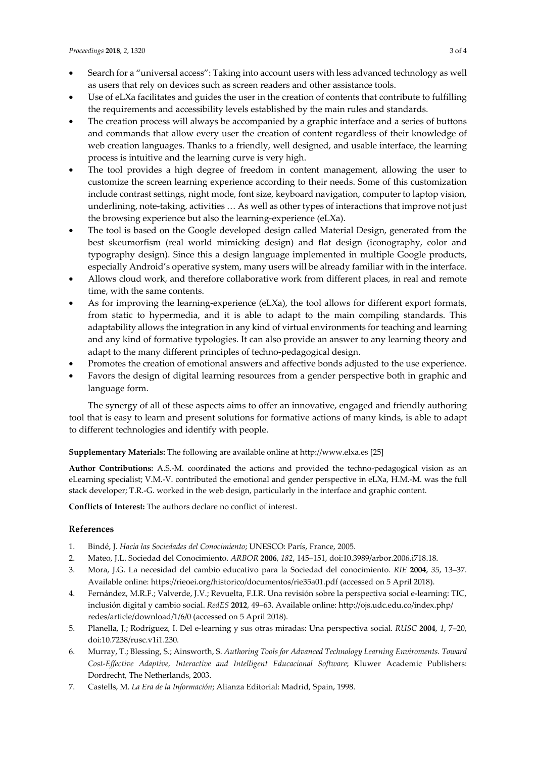- Search for a "universal access": Taking into account users with less advanced technology as well as users that rely on devices such as screen readers and other assistance tools.
- Use of eLXa facilitates and guides the user in the creation of contents that contribute to fulfilling the requirements and accessibility levels established by the main rules and standards.
- The creation process will always be accompanied by a graphic interface and a series of buttons and commands that allow every user the creation of content regardless of their knowledge of web creation languages. Thanks to a friendly, well designed, and usable interface, the learning process is intuitive and the learning curve is very high.
- The tool provides a high degree of freedom in content management, allowing the user to customize the screen learning experience according to their needs. Some of this customization include contrast settings, night mode, font size, keyboard navigation, computer to laptop vision, underlining, note-taking, activities … As well as other types of interactions that improve not just the browsing experience but also the learning-experience (eLXa).
- The tool is based on the Google developed design called Material Design, generated from the best skeumorfism (real world mimicking design) and flat design (iconography, color and typography design). Since this a design language implemented in multiple Google products, especially Android's operative system, many users will be already familiar with in the interface.
- Allows cloud work, and therefore collaborative work from different places, in real and remote time, with the same contents.
- As for improving the learning-experience (eLXa), the tool allows for different export formats, from static to hypermedia, and it is able to adapt to the main compiling standards. This adaptability allows the integration in any kind of virtual environments for teaching and learning and any kind of formative typologies. It can also provide an answer to any learning theory and adapt to the many different principles of techno-pedagogical design.
- Promotes the creation of emotional answers and affective bonds adjusted to the use experience.
- Favors the design of digital learning resources from a gender perspective both in graphic and language form.

The synergy of all of these aspects aims to offer an innovative, engaged and friendly authoring tool that is easy to learn and present solutions for formative actions of many kinds, is able to adapt to different technologies and identify with people.

**Supplementary Materials:** The following are available online at http://www.elxa.es [25]

**Author Contributions:** A.S.-M. coordinated the actions and provided the techno-pedagogical vision as an eLearning specialist; V.M.-V. contributed the emotional and gender perspective in eLXa, H.M.-M. was the full stack developer; T.R.-G. worked in the web design, particularly in the interface and graphic content.

**Conflicts of Interest:** The authors declare no conflict of interest.

## **References**

- 1. Bindé, J. *Hacia las Sociedades del Conocimiento*; UNESCO: París, France, 2005.
- 2. Mateo, J.L. Sociedad del Conocimiento. *ARBOR* **2006**, *182*, 145–151, doi:10.3989/arbor.2006.i718.18.
- 3. Mora, J.G. La necesidad del cambio educativo para la Sociedad del conocimiento. *RIE* **2004**, *35*, 13–37. Available online: https://rieoei.org/historico/documentos/rie35a01.pdf (accessed on 5 April 2018).
- 4. Fernández, M.R.F.; Valverde, J.V.; Revuelta, F.I.R. Una revisión sobre la perspectiva social e-learning: TIC, inclusión digital y cambio social. *RedES* **2012**, 49–63. Available online: http://ojs.udc.edu.co/index.php/ redes/article/download/1/6/0 (accessed on 5 April 2018).
- 5. Planella, J.; Rodríguez, I. Del e-learning y sus otras miradas: Una perspectiva social. *RUSC* **2004**, *1*, 7–20, doi:10.7238/rusc.v1i1.230.
- 6. Murray, T.; Blessing, S.; Ainsworth, S. *Authoring Tools for Advanced Technology Learning Enviroments. Toward Cost-Effective Adaptive, Interactive and Intelligent Educacional Software*; Kluwer Academic Publishers: Dordrecht, The Netherlands, 2003.
- 7. Castells, M. *La Era de la Información*; Alianza Editorial: Madrid, Spain, 1998.